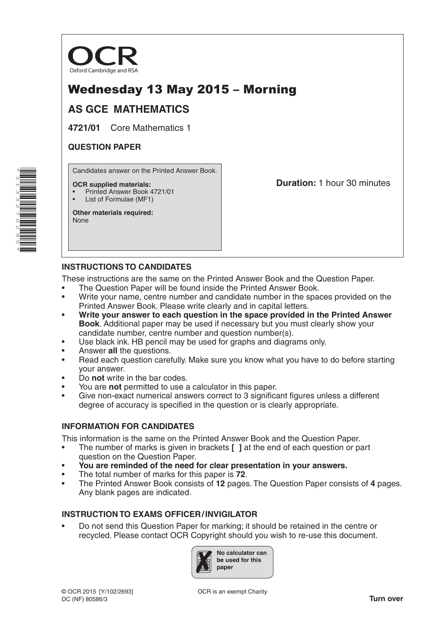

# Wednesday 13 May 2015 – Morning

# **AS GCE MATHEMATICS**

**4721/01** Core Mathematics 1

## **QUESTION PAPER**

Candidates answer on the Printed Answer Book.

#### **OCR supplied materials:**

- Printed Answer Book 4721/01
- List of Formulae (MF1)

**Other materials required:** None

**Duration:** 1 hour 30 minutes

### **INSTRUCTIONS TO CANDIDATES**

These instructions are the same on the Printed Answer Book and the Question Paper.

- The Question Paper will be found inside the Printed Answer Book.
- Write your name, centre number and candidate number in the spaces provided on the Printed Answer Book. Please write clearly and in capital letters.
- **Write your answer to each question in the space provided in the Printed Answer Book**. Additional paper may be used if necessary but you must clearly show your candidate number, centre number and question number(s).
- Use black ink. HB pencil may be used for graphs and diagrams only.
- Answer **all** the questions.
- Read each question carefully. Make sure you know what you have to do before starting your answer.
- Do **not** write in the bar codes.
- You are **not** permitted to use a calculator in this paper.
- Give non-exact numerical answers correct to 3 significant figures unless a different degree of accuracy is specified in the question or is clearly appropriate.

### **INFORMATION FOR CANDIDATES**

This information is the same on the Printed Answer Book and the Question Paper.

- The number of marks is given in brackets **[ ]** at the end of each question or part question on the Question Paper.
- **You are reminded of the need for clear presentation in your answers.**
- The total number of marks for this paper is **72**.
- The Printed Answer Book consists of **12** pages. The Question Paper consists of **4** pages. Any blank pages are indicated.

### **INSTRUCTION TO EXAMS OFFICER/INVIGILATOR**

• Do not send this Question Paper for marking; it should be retained in the centre or recycled. Please contact OCR Copyright should you wish to re-use this document.



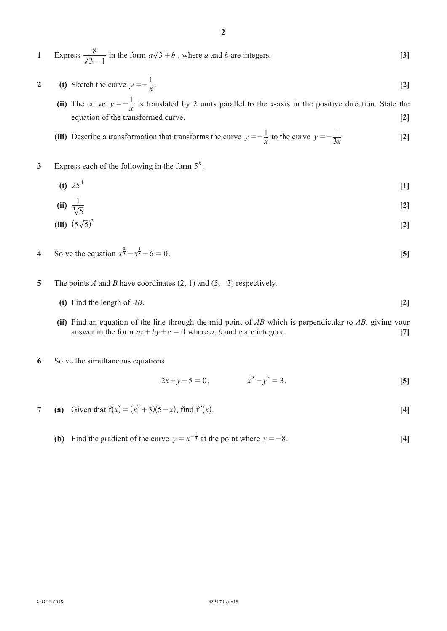- **2** (i) Sketch the curve  $y = -\frac{1}{x}$ .  $=-\frac{1}{x}$ . [2]
- **(ii)** The curve  $y = -\frac{1}{x}$  is translated by 2 units parallel to the *x*-axis in the positive direction. State the *equation of the transformed curve.* [2]

(iii) Describe a transformation that transforms the curve 
$$
y = -\frac{1}{x}
$$
 to the curve  $y = -\frac{1}{3x}$ . [2]

- **3** Express each of the following in the form  $5^k$ .
- **(i)**  $25^4$  [1]

$$
(ii) \frac{1}{\sqrt[4]{5}}
$$

(iii) 
$$
(5\sqrt{5})^3
$$
 [2]

- **4** Solve the equation  $x^{\frac{2}{3}} x^{\frac{1}{3}} 6 = 0$ . [5]
- **5**  The points *A* and *B* have coordinates (2, 1) and (5, −3) respectively.
	- **(i)** Find the length of  $AB$ . **[2]**
	- **(ii)** Find an equation of the line through the mid-point of *AB* which is perpendicular to *AB*, giving your answer in the form  $ax + by + c = 0$  where *a*, *b* and *c* are integers. [7]
- **6** Solve the simultaneous equations

$$
2x + y - 5 = 0, \qquad x^2 - y^2 = 3.
$$
 [5]

- **7** (a) Given that  $f(x) = (x^2 + 3)(5 x)$ , find  $f'(x)$ . [4]
- **(b)** Find the gradient of the curve  $y = x^{-\frac{1}{3}}$  at the point where  $x = -8$ . [4]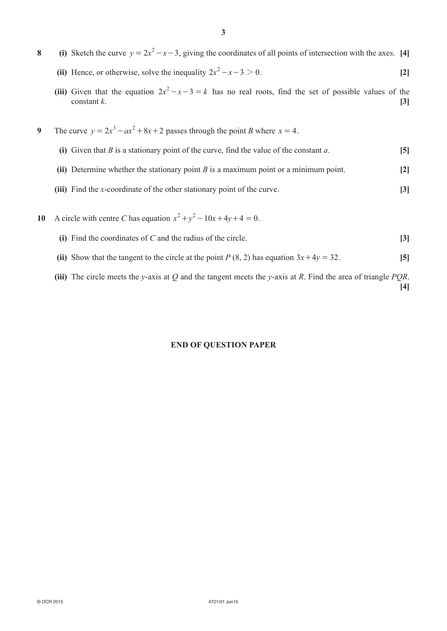- **8** (i) Sketch the curve  $y = 2x^2 x 3$ , giving the coordinates of all points of intersection with the axes. [4] **(ii)** Hence, or otherwise, solve the inequality  $2x^2 - x - 3 > 0$ . [2]
	- **(iii)** Given that the equation  $2x^2 x 3 = k$  has no real roots, find the set of possible values of the  $\epsilon$  constant *k*.
- **9** The curve  $y = 2x^3 ax^2 + 8x + 2$  passes through the point *B* where  $x = 4$ .
	- **(i)** Given that *B* is a stationary point of the curve, find the value of the constant *a*.  $[5]$
	- **(ii)** Determine whether the stationary point *B* is a maximum point or a minimum point. **[2]**
	- **(iii)** Find the *x*-coordinate of the other stationary point of the curve. **[3]**
- **10** A circle with centre *C* has equation  $x^2 + y^2 10x + 4y + 4 = 0$ .
	- **(i)** Find the coordinates of *C* and the radius of the circle. **[3]**
	- **(ii)** Show that the tangent to the circle at the point *P* (8, 2) has equation  $3x + 4y = 32$ . [5]
	- **(iii)** The circle meets the *y*-axis at *Q* and the tangent meets the *y*-axis at *R*. Find the area of triangle *PQR*. **[4]**

#### **END OF QUESTION PAPER**